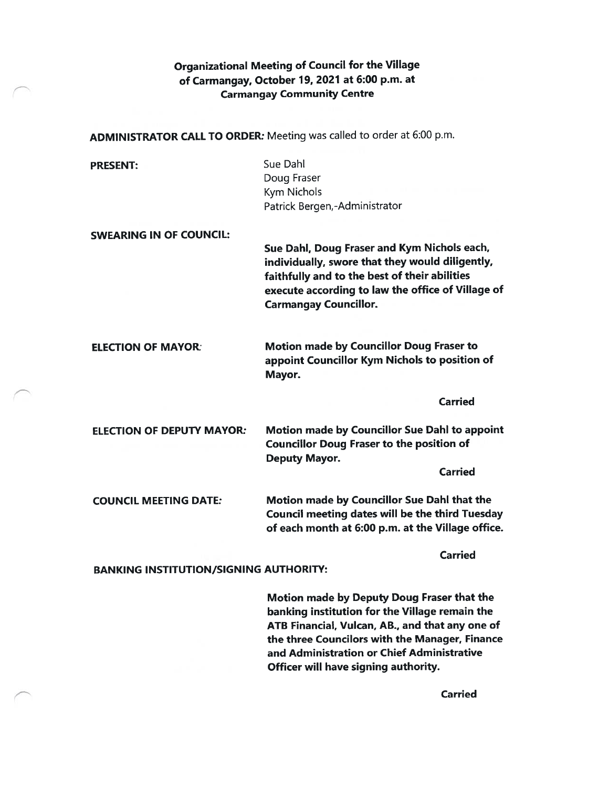## Organizational Meeting of Council for the Village of Carmangay, October 79, 2027 at 6:00 p.m. at Carmangay Community Centre

ADMINISTRATOR CALL TO ORDER: Meeting was called to order at 6:00 p.m.

| <b>PRESENT:</b>                               | Sue Dahl                                                                                                                                                                                                                             |
|-----------------------------------------------|--------------------------------------------------------------------------------------------------------------------------------------------------------------------------------------------------------------------------------------|
|                                               | Doug Fraser                                                                                                                                                                                                                          |
|                                               | Kym Nichols                                                                                                                                                                                                                          |
|                                               | Patrick Bergen,-Administrator                                                                                                                                                                                                        |
| <b>SWEARING IN OF COUNCIL:</b>                |                                                                                                                                                                                                                                      |
|                                               | Sue Dahl, Doug Fraser and Kym Nichols each,<br>individually, swore that they would diligently,<br>faithfully and to the best of their abilities<br>execute according to law the office of Village of<br><b>Carmangay Councillor.</b> |
| <b>ELECTION OF MAYOR:</b>                     | <b>Motion made by Councillor Doug Fraser to</b><br>appoint Councillor Kym Nichols to position of<br>Mayor.                                                                                                                           |
|                                               | <b>Carried</b>                                                                                                                                                                                                                       |
| <b>ELECTION OF DEPUTY MAYOR:</b>              | Motion made by Councillor Sue Dahl to appoint<br><b>Councillor Doug Fraser to the position of</b><br><b>Deputy Mayor.</b>                                                                                                            |
|                                               | <b>Carried</b>                                                                                                                                                                                                                       |
| <b>COUNCIL MEETING DATE:</b>                  | Motion made by Councillor Sue Dahl that the<br>Council meeting dates will be the third Tuesday<br>of each month at 6:00 p.m. at the Village office.                                                                                  |
|                                               | <b>Carried</b>                                                                                                                                                                                                                       |
| <b>BANKING INSTITUTION/SIGNING AUTHORITY:</b> |                                                                                                                                                                                                                                      |
|                                               | <b>Motion made by Deputy Doug Fraser that the</b><br>banking institution for the Village remain the                                                                                                                                  |

banking institution for the Village remain the ATB Financial, Vulcan, AB., and that any one of the three Councilors with the Manager, Finance and Administration or Chief Administrative Officer will have signing authority.

Carried